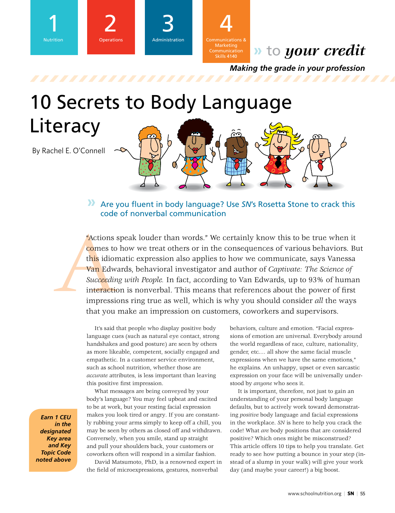

## **»** to *your credit*

*Making the grade in your profession*

# 10 Secrets to Body Language **Literacy** By Rachel E. O'Connell

**»** Are you fluent in body language? Use *SN*'s Rosetta Stone to crack this code of nonverbal communication

Actions<br>
comes to<br>
this idior<br>
van Edw<br>
Succeedir<br>
interaction<br>
impressie<br>
that you "Actions speak louder than words." We certainly know this to be true when it comes to how we treat others or in the consequences of various behaviors. But this idiomatic expression also applies to how we communicate, says Vanessa Van Edwards, behavioral investigator and author of *Captivate: The Science of Succeeding with People.* In fact, according to Van Edwards, up to 93% of human interaction is nonverbal. This means that references about the power of first impressions ring true as well, which is why you should consider *all* the ways that you make an impression on customers, coworkers and supervisors.

> It's said that people who display positive body language cues (such as natural eye contact, strong handshakes and good posture) are seen by others as more likeable, competent, socially engaged and empathetic. In a customer service environment, such as school nutrition, whether those are *accurate* attributes, is less important than leaving this positive first impression.

What messages are being conveyed by your body's language? You may feel upbeat and excited to be at work, but your resting facial expression makes you look tired or angry. If you are constantly rubbing your arms simply to keep off a chill, you may be seen by others as closed off and withdrawn. Conversely, when you smile, stand up straight and pull your shoulders back, your customers or coworkers often will respond in a similar fashion.

David Matsumoto, PhD, is a renowned expert in the field of microexpressions, gestures, nonverbal

behaviors, culture and emotion. "Facial expressions of emotion are universal. Everybody around the world regardless of race, culture, nationality, gender, etc.… all show the same facial muscle expressions when we have the same emotions," he explains. An unhappy, upset or even sarcastic expression on your face will be universally understood by *anyone* who sees it.

It is important, therefore, not just to gain an understanding of your personal body language defaults, but to actively work toward demonstrating *positive* body language and facial expressions in the workplace. *SN* is here to help you crack the code! What *are* body positions that are considered positive? Which ones might be misconstrued? This article offers 10 tips to help you translate. Get ready to see how putting a bounce in your step (instead of a slump in your walk) will give your work day (and maybe your career!) a big boost.

*Earn 1 CEU in the designated Key area and Key Topic Code noted above*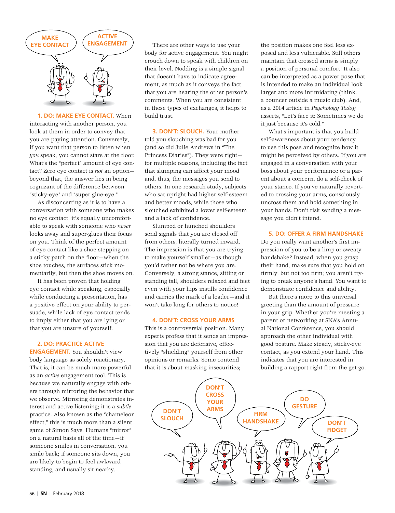

**1. DO: MAKE EYE CONTACT.** When interacting with another person, you look at them in order to convey that you are paying attention. Conversely, if you want that person to listen when *you* speak, you cannot stare at the floor. What's the "perfect" amount of eye contact? Zero eye contact is *not* an option beyond that, the answer lies in being cognizant of the difference between "sticky-eye" and "super glue-eye."

As disconcerting as it is to have a conversation with someone who makes no eye contact, it's equally uncomfortable to speak with someone who *never*  looks away and super-glues their focus on you. Think of the perfect amount of eye contact like a shoe stepping on a sticky patch on the floor—when the shoe touches, the surfaces stick momentarily, but then the shoe moves on.

It has been proven that holding eye contact while speaking, especially while conducting a presentation, has a positive effect on your ability to persuade, while lack of eye contact tends to imply either that you are lying or that you are unsure of yourself.

#### **2. DO: PRACTICE ACTIVE**

**ENGAGEMENT.** You shouldn't view body language as solely reactionary. That is, it can be much more powerful as an *active* engagement tool. This is because we naturally engage with others through mirroring the behavior that we observe. Mirroring demonstrates interest and active listening; it is a *subtle* practice. Also known as the "chameleon effect," this is much more than a silent game of Simon Says. Humans "mirror" on a natural basis all of the time—if someone smiles in conversation, you smile back; if someone sits down, you are likely to begin to feel awkward standing, and usually sit nearby.

There are other ways to use your body for active engagement. You might crouch down to speak with children on their level. Nodding is a simple signal that doesn't have to indicate agreement, as much as it conveys the fact that you are hearing the other person's comments. When you are consistent in these types of exchanges, it helps to build trust.

**3. DON'T: SLOUCH.** Your mother told you slouching was bad for you (and so did Julie Andrews in "The Princess Diaries"). They were right for multiple reasons, including the fact that slumping can affect your mood and, thus, the messages you send to others. In one research study, subjects who sat upright had higher self-esteem and better moods, while those who slouched exhibited a lower self-esteem and a lack of confidence.

Slumped or hunched shoulders send signals that you are closed off from others, literally turned inward. The impression is that you are trying to make yourself smaller—as though you'd rather not be where you are. Conversely, a strong stance, sitting or standing tall, shoulders relaxed and feet even with your hips instills confidence and carries the mark of a leader—and it won't take long for others to notice!

#### **4. DON'T: CROSS YOUR ARMS**

This is a controversial position. Many experts profess that it sends an impression that you are defensive, effectively "shielding" yourself from other opinions or remarks. Some contend that it is about masking insecurities;

the position makes one feel less exposed and less vulnerable. Still others maintain that crossed arms is simply a position of personal comfort! It also can be interpreted as a power pose that is intended to make an individual look larger and more intimidating (think: a bouncer outside a music club). And, as a 2014 article in *Psychology Today*  asserts, "Let's face it: Sometimes we do it just because it's cold."

What's important is that you build self-awareness about your tendency to use this pose and recognize how it might be perceived by others. If you are engaged in a conversation with your boss about your performance or a parent about a concern, do a self-check of your stance. If you've naturally reverted to crossing your arms, consciously uncross them and hold something in your hands. Don't risk sending a message you didn't intend.

#### **5. DO: OFFER A FIRM HANDSHAKE**

Do you really want another's first impression of you to be a limp or sweaty handshake? Instead, when you grasp their hand, make sure that you hold on firmly, but not too firm; you aren't trying to break anyone's hand. You want to demonstrate confidence and ability.

But there's more to this universal greeting than the amount of pressure in your grip. Whether you're meeting a parent or networking at SNA's Annual National Conference, you should approach the other individual with good posture. Make steady, sticky-eye contact, as you extend your hand. This indicates that you are interested in building a rapport right from the get-go.

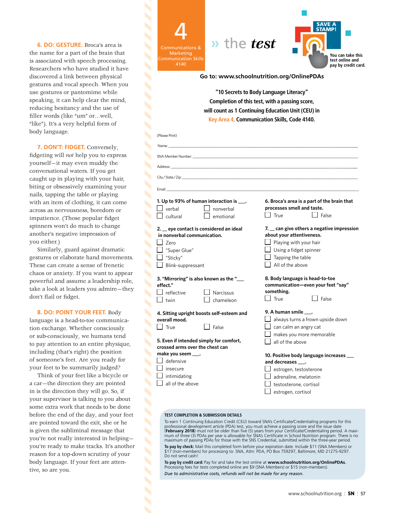**6. DO: GESTURE.** Broca's area is the name for a part of the brain that is associated with speech processing. Researchers who have studied it have discovered a link between physical gestures and vocal speech. When you use gestures or pantomime while speaking, it can help clear the mind, reducing hesitancy and the use of filler words (like "um" or…well, "like"). It's a very helpful form of body language.

Ń

Ń

 $\overline{\phantom{a}}$ 

 $\overline{\mathbf{S}}$ 

 $\blacktriangle$ 

 $\blacktriangle$ Ń Ń

**7. DON'T: FIDGET.** Conversely, fidgeting will *not* help you to express yourself—it may even muddy the conversational waters. If you get caught up in playing with your hair, biting or obsessively examining your nails, tapping the table or playing with an item of clothing, it can come across as nervousness, boredom or impatience. (Those popular fidget spinners won't do much to change another's negative impression of you either.)

Similarly, guard against dramatic gestures or elaborate hand movements. These can create a sense of frenetic chaos or anxiety. If you want to appear powerful and assume a leadership role, take a look at leaders you admire—they don't flail or fidget.

**8. DO: POINT YOUR FEET.** Body language is a head-to-toe communication exchange. Whether consciously or sub-consciously, we humans tend to pay attention to an entire physique, including (that's right) the position of someone's feet. Are you ready for your feet to be summarily judged?

Think of your feet like a bicycle or a car—the direction they are pointed in is the direction they will go. So, if your supervisor is talking to you about some extra work that needs to be done before the end of the day, and your feet are pointed toward the exit, she or he is given the subliminal message that you're not really interested in helping you're ready to make tracks. It's another reason for a top-down scrutiny of your body language. If your feet are attentive, so are you.

4 SAVE A STAMP! **»** the *test* Marketing **You can take this**  Communication Skills **test online and**  4140 **pay by credit card. Go to: www.schoolnutrition.org/OnlinePDAs "10 Secrets to Body Language Literacy" Completion of this test, with a passing score, will count as 1 Continuing Education Unit (CEU) in Key Area 4, Communication Skills, Code 4140.** (Please Print) Name: \_\_\_\_\_\_\_\_\_\_\_\_\_\_\_\_\_\_\_\_\_\_\_\_\_\_\_\_\_\_\_\_\_\_\_\_\_\_\_\_\_\_\_\_\_\_\_\_\_\_\_\_\_\_\_\_\_\_\_\_\_\_\_\_\_\_\_\_\_\_\_\_\_\_\_\_\_\_\_\_\_\_\_\_\_\_\_\_\_\_\_\_\_\_\_\_\_\_\_\_\_\_\_\_\_\_\_\_\_\_\_\_\_\_\_\_\_\_\_\_\_\_\_ SNA Member Number:  $\overline{\mathbf{S}}$ Address: \_\_\_\_\_\_\_\_\_\_\_\_\_\_\_\_\_\_\_\_\_\_\_\_\_\_\_\_\_\_\_\_\_\_\_\_\_\_\_\_\_\_\_\_\_\_\_\_\_\_\_\_\_\_\_\_\_\_\_\_\_\_\_\_\_\_\_\_\_\_\_\_\_\_\_\_\_\_\_\_\_\_\_\_\_\_\_\_\_\_\_\_\_\_\_\_\_\_\_\_\_\_\_\_\_\_\_\_\_\_\_\_\_\_\_\_\_\_\_ Ń City/State/Zip: Email: \_\_\_\_\_\_\_\_\_\_\_\_\_\_\_\_\_\_\_\_\_\_\_\_\_\_\_\_\_\_\_\_\_\_\_\_\_\_\_\_\_\_\_\_\_\_\_\_\_\_\_\_\_\_\_\_\_\_\_\_\_\_\_\_\_\_\_\_\_\_\_\_\_\_\_\_\_\_\_\_\_\_\_\_\_\_\_\_\_\_\_\_\_\_\_\_\_\_\_\_\_\_\_\_\_\_\_\_\_\_\_\_\_\_\_ **1. Up to 93% of human interaction is \_\_\_. 6. Broca's area is a part of the brain that processes smell and taste.**   $\Box$  verbal  $\Box$  nonverbal | | True | | False  $\Box$  cultural  $\Box$  emotional **2. \_\_ eye contact is considered an ideal 7. \_\_ can give others a negative impression in nonverbal communication. about your attentiveness.** Zero  $\Box$  Playing with your hair "Super Glue" Using a fidget spinner  $\Box$  "Sticky"  $\Box$  Tapping the table  $\Box$  Blink-suppressant  $\Box$  All of the above **3. "Mirroring" is also known as the "\_\_\_ 8. Body language is head-to-toe communication—even your feet "say" effect." something.**  $\Box$  reflective  $\Box$  Narcissus  $\Box$  True  $\Box$  False  $\Box$  twin  $\Box$  chameleon **9. A human smile \_\_\_. 4. Sitting upright boosts self-esteem and**   $\Box$  always turns a frown upside down **overall mood.**  $\Box$  True  $\Box$  False can calm an angry cat makes you more memorable **5. Even if intended simply for comfort,**  all of the above **crossed arms over the chest can make you seem \_\_\_. 10. Positive body language increases \_\_\_**   $\Box$  defensive **and decreases \_\_\_.**  $\Box$  insecure estrogen, testosterone intimidating n adrenaline, melatonin  $\Box$  all of the above testosterone, cortisol estrogen, cortisol

#### **TEST COMPLETION & SUBMISSION DETAILS**

To earn 1 Continuing Education Credit (CEU) toward SNA's Certificate/Credentialing programs for this professional development article (PDA) test, you must achieve a passing score and the issue date<br>(**February 2018**) must not be older than five (5) years from your Certificate/Credentialing period. A maximum of three (3) PDAs per year is allowable for SNA's Certificate in School Nutrition program. There is no maximum of passing PDAs for those with the SNS Credential, submitted within the three-year period. **To pay by check:** Mail this completed form before your expiration date. Include \$11 (SNA Members) or

\$17 (non-members) for processing to: SNA, Attn: PDA, PO Box 759297, Baltimore, MD 21275-9297. Do not send cash!

**To pay by credit card:** Pay for and take the test online at **www.schoolnutrition.org/OnlinePDAs**. Processing fees for tests completed online are \$9 (SNA Members) or \$15 (non-members). *Due to administrative costs, refunds will not be made for any reason.*